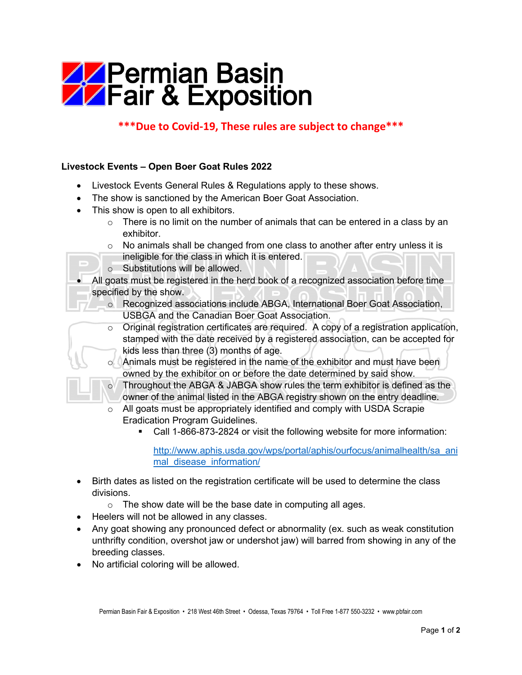## **APermian Basin<br>AFair & Exposition**

## **\*\*\*Due to Covid-19, These rules are subject to change\*\*\***

## **Livestock Events – Open Boer Goat Rules 2022**

- Livestock Events General Rules & Regulations apply to these shows.
- The show is sanctioned by the American Boer Goat Association.
- This show is open to all exhibitors.
	- $\circ$  There is no limit on the number of animals that can be entered in a class by an exhibitor.
	- $\circ$  No animals shall be changed from one class to another after entry unless it is ineligible for the class in which it is entered.
	- o Substitutions will be allowed.
- All goats must be registered in the herd book of a recognized association before time specified by the show.
	- o Recognized associations include ABGA, International Boer Goat Association, USBGA and the Canadian Boer Goat Association.
	- $\circ$  Original registration certificates are required. A copy of a registration application, stamped with the date received by a registered association, can be accepted for kids less than three (3) months of age.
	- $\circ$  Animals must be registered in the name of the exhibitor and must have been owned by the exhibitor on or before the date determined by said show.
	- o Throughout the ABGA & JABGA show rules the term exhibitor is defined as the owner of the animal listed in the ABGA registry shown on the entry deadline.
	- o All goats must be appropriately identified and comply with USDA Scrapie Eradication Program Guidelines.
		- Call 1-866-873-2824 or visit the following website for more information:

[http://www.aphis.usda.gov/wps/portal/aphis/ourfocus/animalhealth/sa\\_ani](http://www.aphis.usda.gov/wps/portal/aphis/ourfocus/animalhealth/sa_animal_disease_information/) mal disease information/

- Birth dates as listed on the registration certificate will be used to determine the class divisions.
	- $\circ$  The show date will be the base date in computing all ages.
- Heelers will not be allowed in any classes.
- Any goat showing any pronounced defect or abnormality (ex. such as weak constitution unthrifty condition, overshot jaw or undershot jaw) will barred from showing in any of the breeding classes.
- No artificial coloring will be allowed.